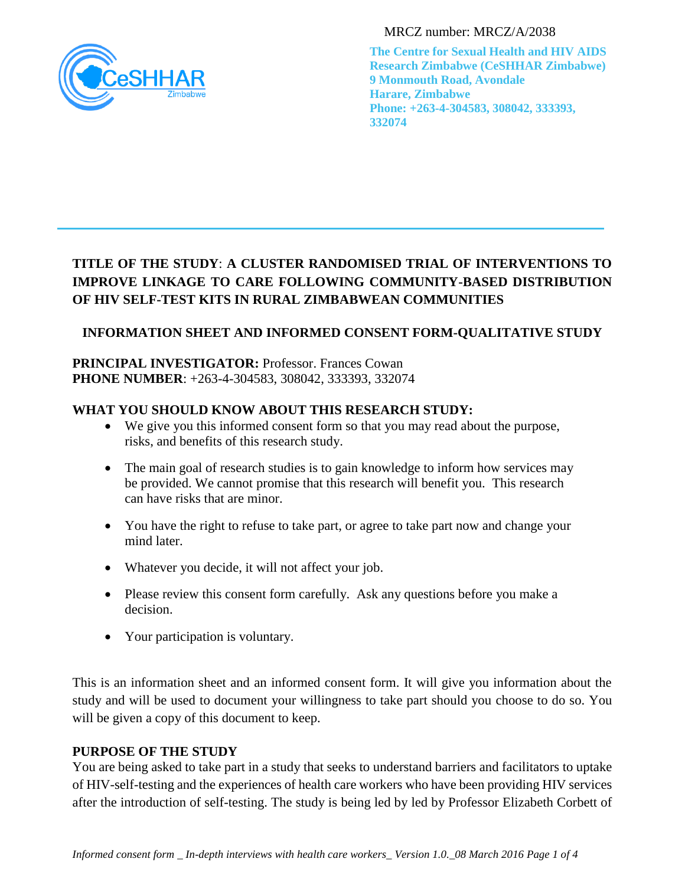

MRCZ number: MRCZ/A/2038

**The Centre for Sexual Health and HIV AIDS Research Zimbabwe (CeSHHAR Zimbabwe) 9 Monmouth Road, Avondale Harare, Zimbabwe Phone: +263-4-304583, 308042, 333393, 332074**

# **TITLE OF THE STUDY**: **A CLUSTER RANDOMISED TRIAL OF INTERVENTIONS TO IMPROVE LINKAGE TO CARE FOLLOWING COMMUNITY-BASED DISTRIBUTION OF HIV SELF-TEST KITS IN RURAL ZIMBABWEAN COMMUNITIES**

# **INFORMATION SHEET AND INFORMED CONSENT FORM-QUALITATIVE STUDY**

### **PRINCIPAL INVESTIGATOR: Professor. Frances Cowan PHONE NUMBER**: +263-4-304583, 308042, 333393, 332074

# **WHAT YOU SHOULD KNOW ABOUT THIS RESEARCH STUDY:**

- We give you this informed consent form so that you may read about the purpose, risks, and benefits of this research study.
- The main goal of research studies is to gain knowledge to inform how services may be provided. We cannot promise that this research will benefit you. This research can have risks that are minor.
- You have the right to refuse to take part, or agree to take part now and change your mind later.
- Whatever you decide, it will not affect your job.
- Please review this consent form carefully. Ask any questions before you make a decision.
- Your participation is voluntary.

This is an information sheet and an informed consent form. It will give you information about the study and will be used to document your willingness to take part should you choose to do so. You will be given a copy of this document to keep.

# **PURPOSE OF THE STUDY**

You are being asked to take part in a study that seeks to understand barriers and facilitators to uptake of HIV-self-testing and the experiences of health care workers who have been providing HIV services after the introduction of self-testing. The study is being led by led by Professor Elizabeth Corbett of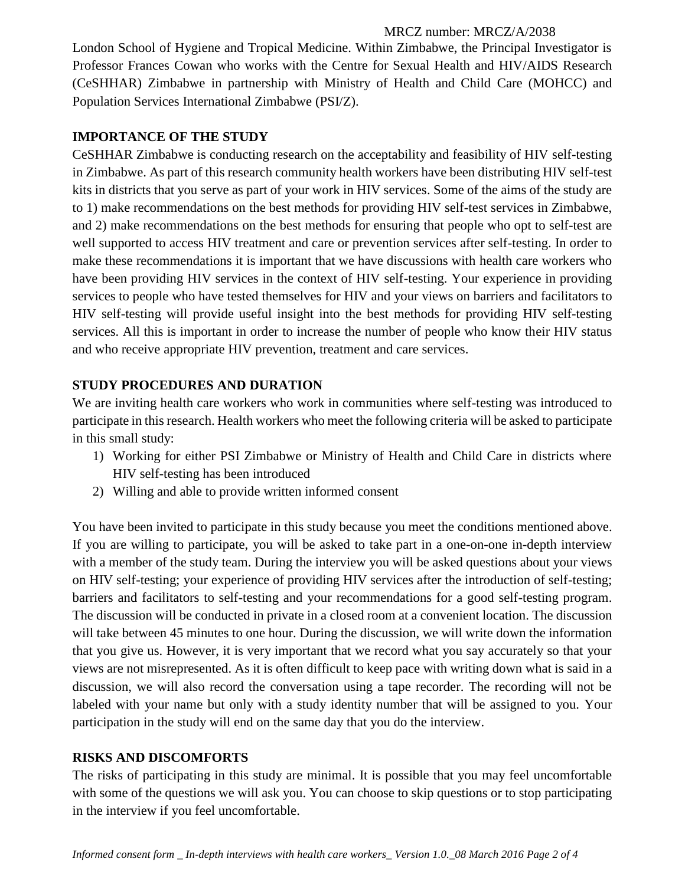#### MRCZ number: MRCZ/A/2038

London School of Hygiene and Tropical Medicine. Within Zimbabwe, the Principal Investigator is Professor Frances Cowan who works with the Centre for Sexual Health and HIV/AIDS Research (CeSHHAR) Zimbabwe in partnership with Ministry of Health and Child Care (MOHCC) and Population Services International Zimbabwe (PSI/Z).

# **IMPORTANCE OF THE STUDY**

CeSHHAR Zimbabwe is conducting research on the acceptability and feasibility of HIV self-testing in Zimbabwe. As part of this research community health workers have been distributing HIV self-test kits in districts that you serve as part of your work in HIV services. Some of the aims of the study are to 1) make recommendations on the best methods for providing HIV self-test services in Zimbabwe, and 2) make recommendations on the best methods for ensuring that people who opt to self-test are well supported to access HIV treatment and care or prevention services after self-testing. In order to make these recommendations it is important that we have discussions with health care workers who have been providing HIV services in the context of HIV self-testing. Your experience in providing services to people who have tested themselves for HIV and your views on barriers and facilitators to HIV self-testing will provide useful insight into the best methods for providing HIV self-testing services. All this is important in order to increase the number of people who know their HIV status and who receive appropriate HIV prevention, treatment and care services.

# **STUDY PROCEDURES AND DURATION**

We are inviting health care workers who work in communities where self-testing was introduced to participate in this research. Health workers who meet the following criteria will be asked to participate in this small study:

- 1) Working for either PSI Zimbabwe or Ministry of Health and Child Care in districts where HIV self-testing has been introduced
- 2) Willing and able to provide written informed consent

You have been invited to participate in this study because you meet the conditions mentioned above. If you are willing to participate, you will be asked to take part in a one-on-one in-depth interview with a member of the study team. During the interview you will be asked questions about your views on HIV self-testing; your experience of providing HIV services after the introduction of self-testing; barriers and facilitators to self-testing and your recommendations for a good self-testing program. The discussion will be conducted in private in a closed room at a convenient location. The discussion will take between 45 minutes to one hour. During the discussion, we will write down the information that you give us. However, it is very important that we record what you say accurately so that your views are not misrepresented. As it is often difficult to keep pace with writing down what is said in a discussion, we will also record the conversation using a tape recorder. The recording will not be labeled with your name but only with a study identity number that will be assigned to you. Your participation in the study will end on the same day that you do the interview.

# **RISKS AND DISCOMFORTS**

The risks of participating in this study are minimal. It is possible that you may feel uncomfortable with some of the questions we will ask you. You can choose to skip questions or to stop participating in the interview if you feel uncomfortable.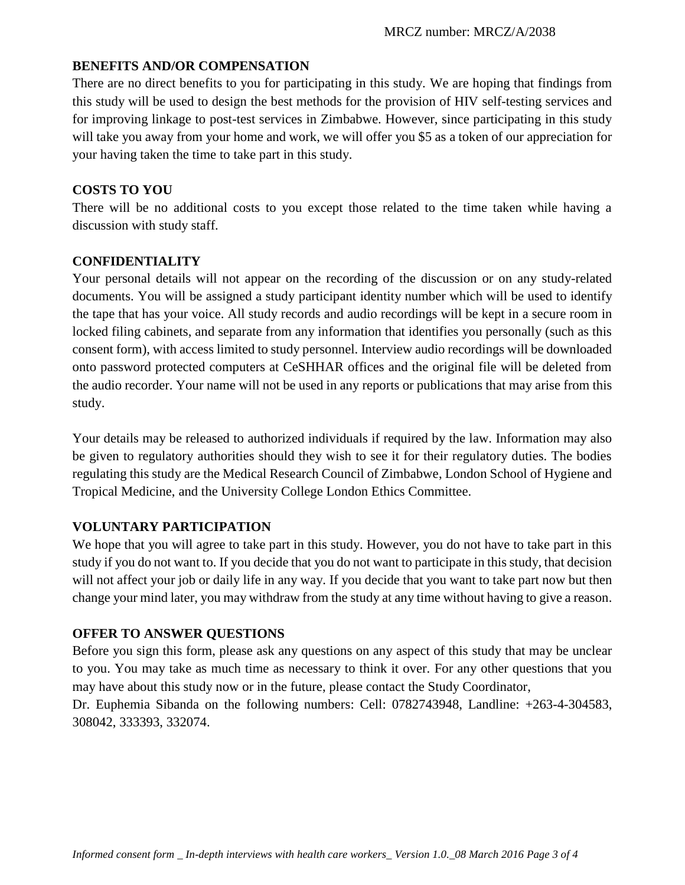#### **BENEFITS AND/OR COMPENSATION**

There are no direct benefits to you for participating in this study. We are hoping that findings from this study will be used to design the best methods for the provision of HIV self-testing services and for improving linkage to post-test services in Zimbabwe. However, since participating in this study will take you away from your home and work, we will offer you \$5 as a token of our appreciation for your having taken the time to take part in this study.

#### **COSTS TO YOU**

There will be no additional costs to you except those related to the time taken while having a discussion with study staff.

#### **CONFIDENTIALITY**

Your personal details will not appear on the recording of the discussion or on any study-related documents. You will be assigned a study participant identity number which will be used to identify the tape that has your voice. All study records and audio recordings will be kept in a secure room in locked filing cabinets, and separate from any information that identifies you personally (such as this consent form), with access limited to study personnel. Interview audio recordings will be downloaded onto password protected computers at CeSHHAR offices and the original file will be deleted from the audio recorder. Your name will not be used in any reports or publications that may arise from this study.

Your details may be released to authorized individuals if required by the law. Information may also be given to regulatory authorities should they wish to see it for their regulatory duties. The bodies regulating this study are the Medical Research Council of Zimbabwe, London School of Hygiene and Tropical Medicine, and the University College London Ethics Committee.

# **VOLUNTARY PARTICIPATION**

We hope that you will agree to take part in this study. However, you do not have to take part in this study if you do not want to. If you decide that you do not want to participate in this study, that decision will not affect your job or daily life in any way. If you decide that you want to take part now but then change your mind later, you may withdraw from the study at any time without having to give a reason.

# **OFFER TO ANSWER QUESTIONS**

Before you sign this form, please ask any questions on any aspect of this study that may be unclear to you. You may take as much time as necessary to think it over. For any other questions that you may have about this study now or in the future, please contact the Study Coordinator,

Dr. Euphemia Sibanda on the following numbers: Cell: 0782743948, Landline: +263-4-304583, 308042, 333393, 332074.